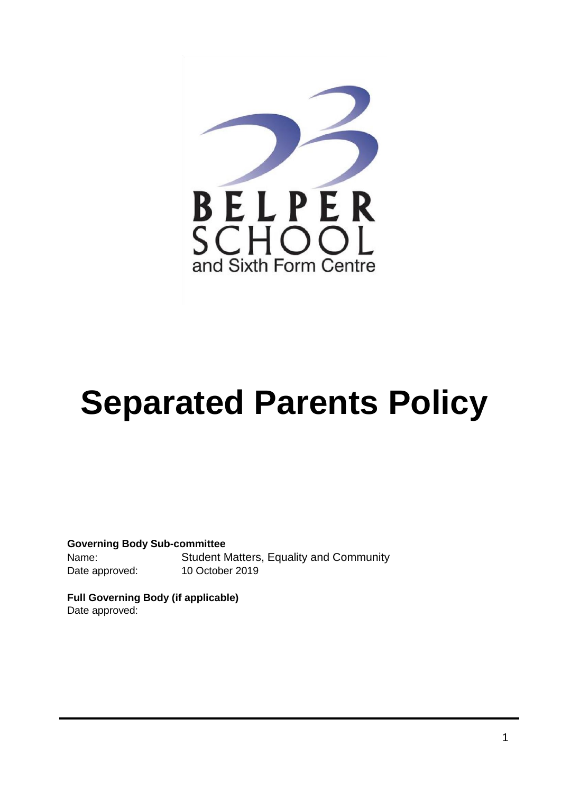

# **Separated Parents Policy**

**Governing Body Sub-committee**  Name: Student Matters, Equality and Community Date approved: 10 October 2019

**Full Governing Body (if applicable)**  Date approved: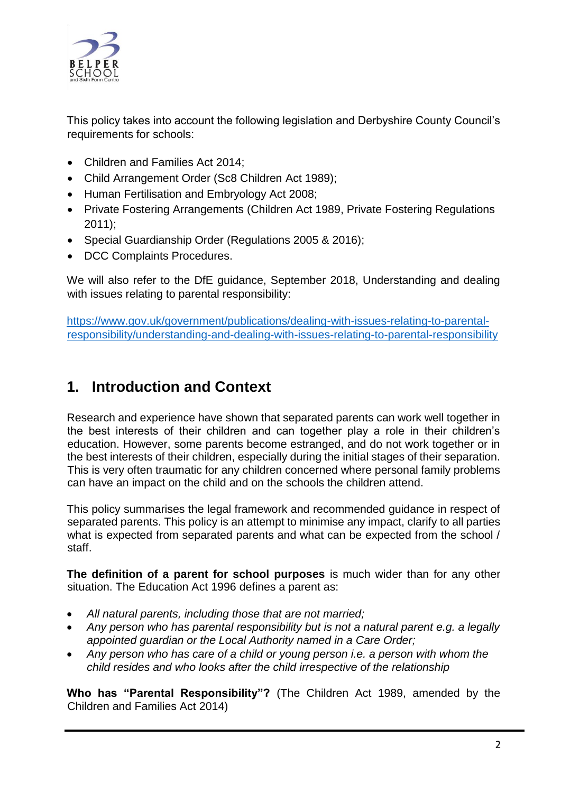

This policy takes into account the following legislation and Derbyshire County Council's requirements for schools:

- Children and Families Act 2014:
- Child Arrangement Order (Sc8 Children Act 1989);
- Human Fertilisation and Embryology Act 2008;
- Private Fostering Arrangements (Children Act 1989, Private Fostering Regulations 2011);
- Special Guardianship Order (Regulations 2005 & 2016);
- DCC Complaints Procedures.

We will also refer to the DfE guidance, September 2018, Understanding and dealing with issues relating to parental responsibility:

[https://www.gov.uk/government/publications/dealing-with-issues-relating-to-parental](https://www.gov.uk/government/publications/dealing-with-issues-relating-to-parental-responsibility/understanding-and-dealing-with-issues-relating-to-parental-responsibility)[responsibility/understanding-and-dealing-with-issues-relating-to-parental-responsibility](https://www.gov.uk/government/publications/dealing-with-issues-relating-to-parental-responsibility/understanding-and-dealing-with-issues-relating-to-parental-responsibility)

### **1. Introduction and Context**

Research and experience have shown that separated parents can work well together in the best interests of their children and can together play a role in their children's education. However, some parents become estranged, and do not work together or in the best interests of their children, especially during the initial stages of their separation. This is very often traumatic for any children concerned where personal family problems can have an impact on the child and on the schools the children attend.

This policy summarises the legal framework and recommended guidance in respect of separated parents. This policy is an attempt to minimise any impact, clarify to all parties what is expected from separated parents and what can be expected from the school / staff.

**The definition of a parent for school purposes** is much wider than for any other situation. The Education Act 1996 defines a parent as:

- *All natural parents, including those that are not married;*
- *Any person who has parental responsibility but is not a natural parent e.g. a legally appointed guardian or the Local Authority named in a Care Order;*
- *Any person who has care of a child or young person i.e. a person with whom the child resides and who looks after the child irrespective of the relationship*

**Who has "Parental Responsibility"?** (The Children Act 1989, amended by the Children and Families Act 2014)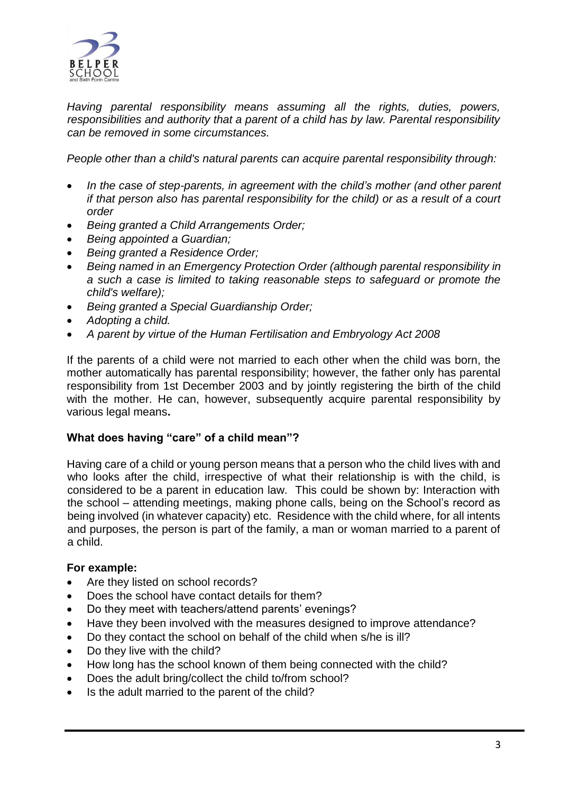

*Having parental responsibility means assuming all the rights, duties, powers, responsibilities and authority that a parent of a child has by law. Parental responsibility can be removed in some circumstances.* 

*People other than a child's natural parents can acquire parental responsibility through:*

- In the case of step-parents, in agreement with the child's mother (and other parent *if that person also has parental responsibility for the child) or as a result of a court order*
- *Being granted a Child Arrangements Order;*
- *Being appointed a Guardian;*
- *Being granted a Residence Order;*
- *Being named in an Emergency Protection Order (although parental responsibility in a such a case is limited to taking reasonable steps to safeguard or promote the child's welfare);*
- *Being granted a Special Guardianship Order;*
- *Adopting a child.*
- *A parent by virtue of the Human Fertilisation and Embryology Act 2008*

If the parents of a child were not married to each other when the child was born, the mother automatically has parental responsibility; however, the father only has parental responsibility from 1st December 2003 and by jointly registering the birth of the child with the mother. He can, however, subsequently acquire parental responsibility by various legal means**.**

### **What does having "care" of a child mean"?**

Having care of a child or young person means that a person who the child lives with and who looks after the child, irrespective of what their relationship is with the child, is considered to be a parent in education law. This could be shown by: Interaction with the school – attending meetings, making phone calls, being on the School's record as being involved (in whatever capacity) etc. Residence with the child where, for all intents and purposes, the person is part of the family, a man or woman married to a parent of a child.

### **For example:**

- Are they listed on school records?
- Does the school have contact details for them?
- Do they meet with teachers/attend parents' evenings?
- Have they been involved with the measures designed to improve attendance?
- Do they contact the school on behalf of the child when s/he is ill?
- Do they live with the child?
- How long has the school known of them being connected with the child?
- Does the adult bring/collect the child to/from school?
- Is the adult married to the parent of the child?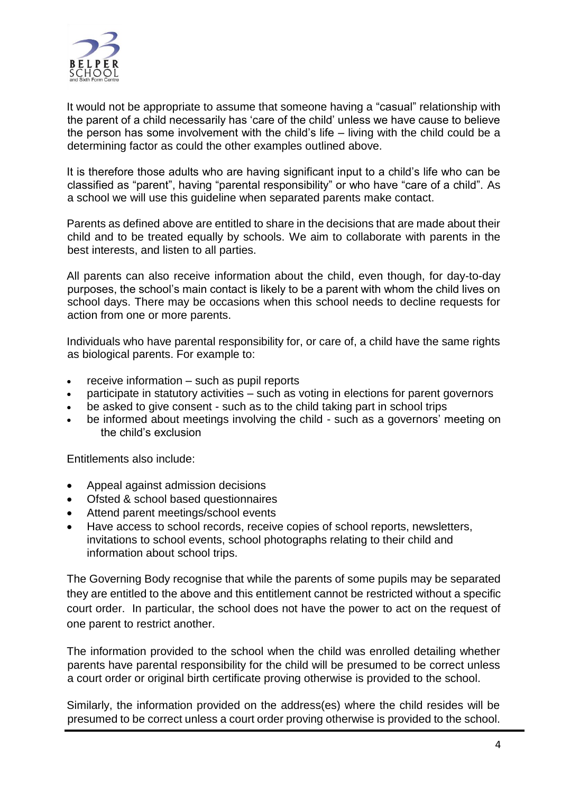

It would not be appropriate to assume that someone having a "casual" relationship with the parent of a child necessarily has 'care of the child' unless we have cause to believe the person has some involvement with the child's life – living with the child could be a determining factor as could the other examples outlined above.

It is therefore those adults who are having significant input to a child's life who can be classified as "parent", having "parental responsibility" or who have "care of a child". As a school we will use this guideline when separated parents make contact.

Parents as defined above are entitled to share in the decisions that are made about their child and to be treated equally by schools. We aim to collaborate with parents in the best interests, and listen to all parties.

All parents can also [receive information about the child,](http://www.legislation.gov.uk/uksi/2005/1437/contents/made) even though, for day-to-day purposes, the school's main contact is likely to be a parent with whom the child lives on school days. There may be occasions when this school needs to decline requests for action from one or more parents.

Individuals who have parental responsibility for, or care of, a child have the same rights as biological parents. For example to:

- $\bullet$  receive information such as pupil reports
- participate in statutory activities such as voting in elections for parent governors
- be asked to give consent such as to the child taking part in school trips
- be informed about meetings involving the child such as a governors' meeting on the child's exclusion

Entitlements also include:

- Appeal against admission decisions
- Ofsted & school based questionnaires
- Attend parent meetings/school events
- Have access to school records, receive copies of school reports, newsletters, invitations to school events, school photographs relating to their child and information about school trips.

The Governing Body recognise that while the parents of some pupils may be separated they are entitled to the above and this entitlement cannot be restricted without a specific court order. In particular, the school does not have the power to act on the request of one parent to restrict another.

The information provided to the school when the child was enrolled detailing whether parents have parental responsibility for the child will be presumed to be correct unless a court order or original birth certificate proving otherwise is provided to the school.

Similarly, the information provided on the address(es) where the child resides will be presumed to be correct unless a court order proving otherwise is provided to the school.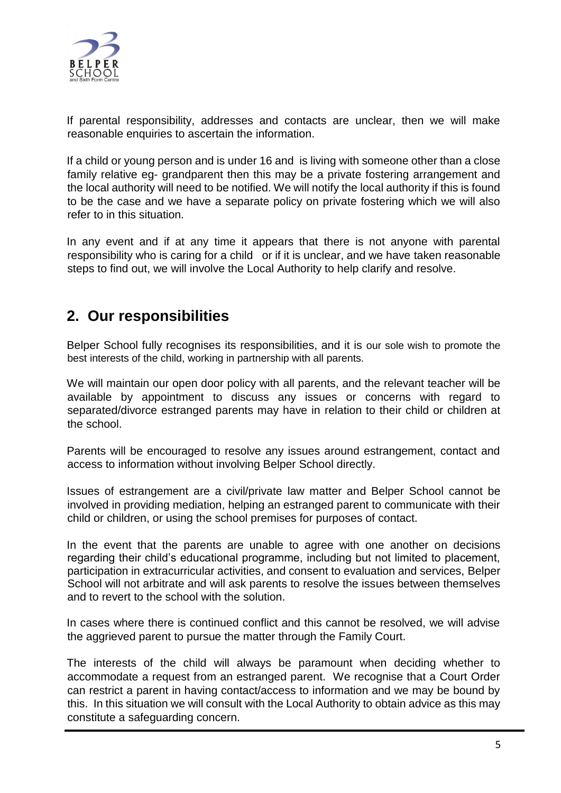

If parental responsibility, addresses and contacts are unclear, then we will make reasonable enquiries to ascertain the information.

If a child or young person and is under 16 and is living with someone other than a close family relative eg- grandparent then this may be a private fostering arrangement and the local authority will need to be notified. We will notify the local authority if this is found to be the case and we have a separate policy on private fostering which we will also refer to in this situation.

In any event and if at any time it appears that there is not anyone with parental responsibility who is caring for a child or if it is unclear, and we have taken reasonable steps to find out, we will involve the Local Authority to help clarify and resolve.

### **2. Our responsibilities**

Belper School fully recognises its responsibilities, and it is our sole wish to promote the best interests of the child, working in partnership with all parents.

We will maintain our open door policy with all parents, and the relevant teacher will be available by appointment to discuss any issues or concerns with regard to separated/divorce estranged parents may have in relation to their child or children at the school.

Parents will be encouraged to resolve any issues around estrangement, contact and access to information without involving Belper School directly.

Issues of estrangement are a civil/private law matter and Belper School cannot be involved in providing mediation, helping an estranged parent to communicate with their child or children, or using the school premises for purposes of contact.

In the event that the parents are unable to agree with one another on decisions regarding their child's educational programme, including but not limited to placement, participation in extracurricular activities, and consent to evaluation and services, Belper School will not arbitrate and will ask parents to resolve the issues between themselves and to revert to the school with the solution.

In cases where there is continued conflict and this cannot be resolved, we will advise the aggrieved parent to pursue the matter through the Family Court.

The interests of the child will always be paramount when deciding whether to accommodate a request from an estranged parent. We recognise that a Court Order can restrict a parent in having contact/access to information and we may be bound by this. In this situation we will consult with the Local Authority to obtain advice as this may constitute a safeguarding concern.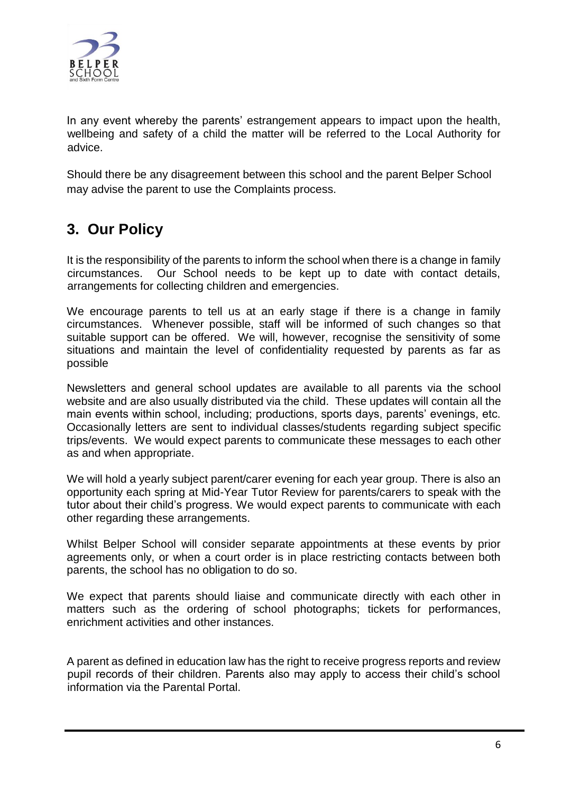

In any event whereby the parents' estrangement appears to impact upon the health, wellbeing and safety of a child the matter will be referred to the Local Authority for advice.

Should there be any disagreement between this school and the parent Belper School may advise the parent to use the Complaints process.

### **3. Our Policy**

It is the responsibility of the parents to inform the school when there is a change in family circumstances. Our School needs to be kept up to date with contact details, arrangements for collecting children and emergencies.

We encourage parents to tell us at an early stage if there is a change in family circumstances. Whenever possible, staff will be informed of such changes so that suitable support can be offered. We will, however, recognise the sensitivity of some situations and maintain the level of confidentiality requested by parents as far as possible

Newsletters and general school updates are available to all parents via the school website and are also usually distributed via the child. These updates will contain all the main events within school, including; productions, sports days, parents' evenings, etc. Occasionally letters are sent to individual classes/students regarding subject specific trips/events. We would expect parents to communicate these messages to each other as and when appropriate.

We will hold a yearly subject parent/carer evening for each year group. There is also an opportunity each spring at Mid-Year Tutor Review for parents/carers to speak with the tutor about their child's progress. We would expect parents to communicate with each other regarding these arrangements.

Whilst Belper School will consider separate appointments at these events by prior agreements only, or when a court order is in place restricting contacts between both parents, the school has no obligation to do so.

We expect that parents should liaise and communicate directly with each other in matters such as the ordering of school photographs; tickets for performances, enrichment activities and other instances.

A parent as defined in education law has the right to receive progress reports and review pupil records of their children. Parents also may apply to access their child's school information via the Parental Portal.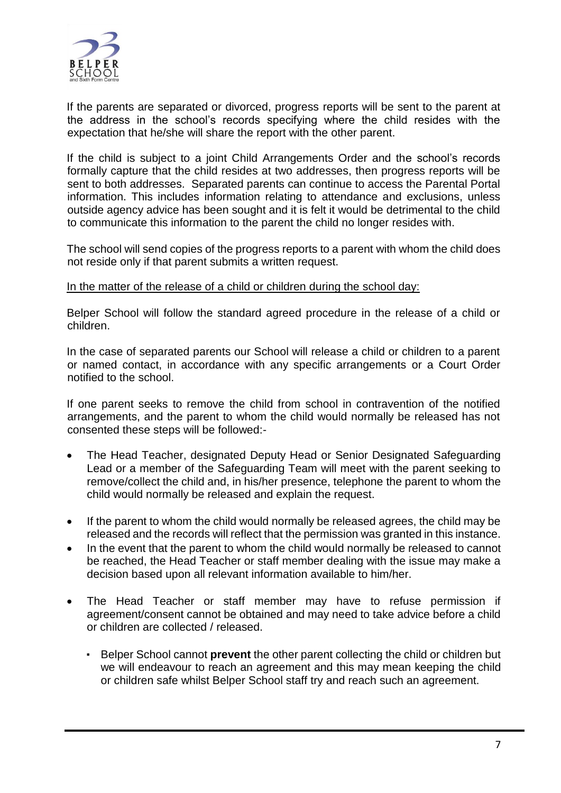

If the parents are separated or divorced, progress reports will be sent to the parent at the address in the school's records specifying where the child resides with the expectation that he/she will share the report with the other parent.

If the child is subject to a joint Child Arrangements Order and the school's records formally capture that the child resides at two addresses, then progress reports will be sent to both addresses. Separated parents can continue to access the Parental Portal information. This includes information relating to attendance and exclusions, unless outside agency advice has been sought and it is felt it would be detrimental to the child to communicate this information to the parent the child no longer resides with.

The school will send copies of the progress reports to a parent with whom the child does not reside only if that parent submits a written request.

#### In the matter of the release of a child or children during the school day:

Belper School will follow the standard agreed procedure in the release of a child or children.

In the case of separated parents our School will release a child or children to a parent or named contact, in accordance with any specific arrangements or a Court Order notified to the school.

If one parent seeks to remove the child from school in contravention of the notified arrangements, and the parent to whom the child would normally be released has not consented these steps will be followed:-

- The Head Teacher, designated Deputy Head or Senior Designated Safeguarding Lead or a member of the Safeguarding Team will meet with the parent seeking to remove/collect the child and, in his/her presence, telephone the parent to whom the child would normally be released and explain the request.
- If the parent to whom the child would normally be released agrees, the child may be released and the records will reflect that the permission was granted in this instance.
- In the event that the parent to whom the child would normally be released to cannot be reached, the Head Teacher or staff member dealing with the issue may make a decision based upon all relevant information available to him/her.
- The Head Teacher or staff member may have to refuse permission if agreement/consent cannot be obtained and may need to take advice before a child or children are collected / released.
	- Belper School cannot **prevent** the other parent collecting the child or children but we will endeavour to reach an agreement and this may mean keeping the child or children safe whilst Belper School staff try and reach such an agreement.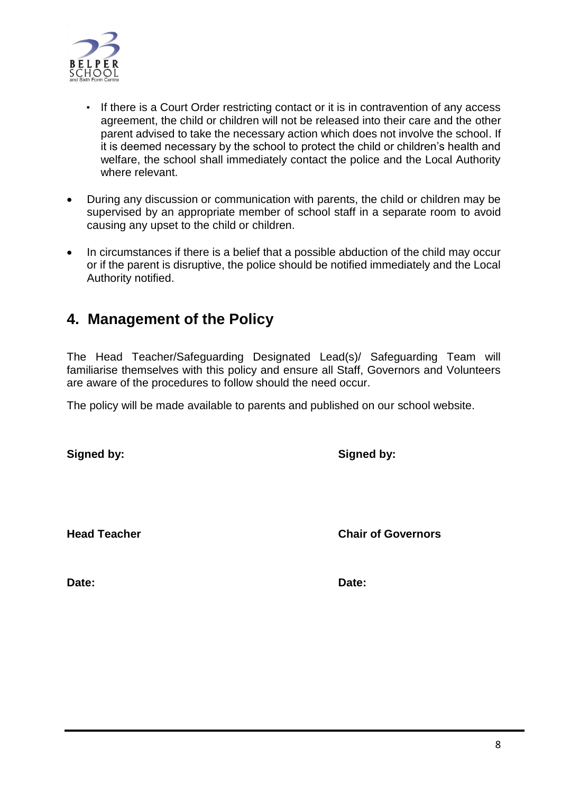

- **If there is a Court Order restricting contact or it is in contravention of any access** agreement, the child or children will not be released into their care and the other parent advised to take the necessary action which does not involve the school. If it is deemed necessary by the school to protect the child or children's health and welfare, the school shall immediately contact the police and the Local Authority where relevant.
- During any discussion or communication with parents, the child or children may be supervised by an appropriate member of school staff in a separate room to avoid causing any upset to the child or children.
- In circumstances if there is a belief that a possible abduction of the child may occur or if the parent is disruptive, the police should be notified immediately and the Local Authority notified.

### **4. Management of the Policy**

The Head Teacher/Safeguarding Designated Lead(s)/ Safeguarding Team will familiarise themselves with this policy and ensure all Staff, Governors and Volunteers are aware of the procedures to follow should the need occur.

The policy will be made available to parents and published on our school website.

**Signed by: Signed by:**

**Head Teacher Chair of Governors**

**Date: Date:**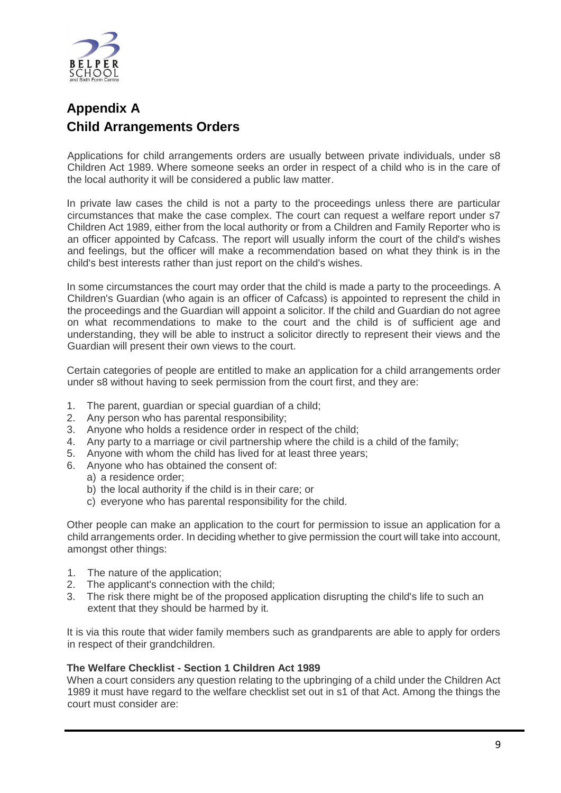

### **Appendix A Child Arrangements Orders**

Applications for child arrangements orders are usually between private individuals, under s8 Children Act 1989. Where someone seeks an order in respect of a child who is in the care of the local authority it will be considered a public law matter.

In private law cases the child is not a party to the proceedings unless there are particular circumstances that make the case complex. The court can request a welfare report under s7 Children Act 1989, either from the local authority or from a Children and Family Reporter who is an officer appointed by Cafcass. The report will usually inform the court of the child's wishes and feelings, but the officer will make a recommendation based on what they think is in the child's best interests rather than just report on the child's wishes.

In some circumstances the court may order that the child is made a party to the proceedings. A Children's Guardian (who again is an officer of Cafcass) is appointed to represent the child in the proceedings and the Guardian will appoint a solicitor. If the child and Guardian do not agree on what recommendations to make to the court and the child is of sufficient age and understanding, they will be able to instruct a solicitor directly to represent their views and the Guardian will present their own views to the court.

Certain categories of people are entitled to make an application for a child arrangements order under s8 without having to seek permission from the court first, and they are:

- 1. The parent, guardian or special guardian of a child;
- 2. Any person who has parental responsibility;
- 3. Anyone who holds a residence order in respect of the child;
- 4. Any party to a marriage or civil partnership where the child is a child of the family;
- 5. Anyone with whom the child has lived for at least three years;
- 6. Anyone who has obtained the consent of:
	- a) a residence order;
	- b) the local authority if the child is in their care; or
	- c) everyone who has parental responsibility for the child.

Other people can make an application to the court for permission to issue an application for a child arrangements order. In deciding whether to give permission the court will take into account, amongst other things:

- 1. The nature of the application;
- 2. The applicant's connection with the child;
- 3. The risk there might be of the proposed application disrupting the child's life to such an extent that they should be harmed by it.

It is via this route that wider family members such as grandparents are able to apply for orders in respect of their grandchildren.

#### **The Welfare Checklist - Section 1 Children Act 1989**

When a court considers any question relating to the upbringing of a child under the Children Act 1989 it must have regard to the welfare checklist set out in s1 of that Act. Among the things the court must consider are: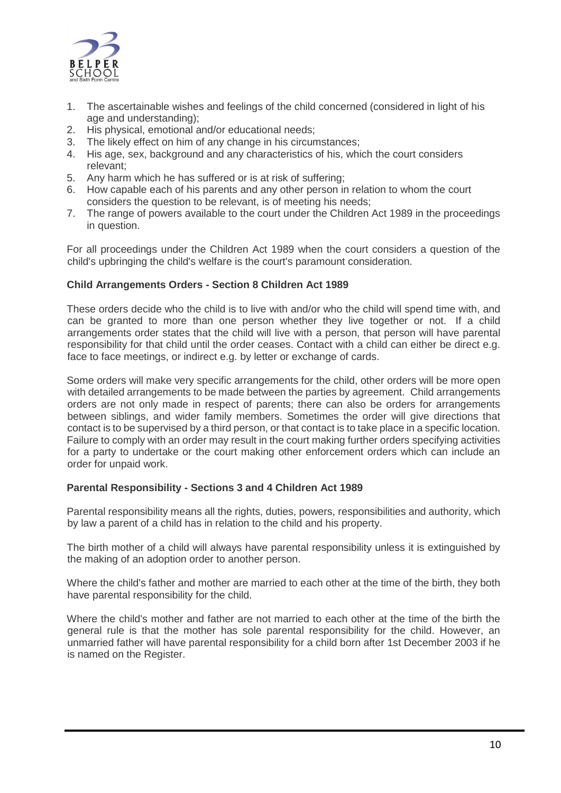

- 1. The ascertainable wishes and feelings of the child concerned (considered in light of his age and understanding);
- 2. His physical, emotional and/or educational needs;
- 3. The likely effect on him of any change in his circumstances;
- 4. His age, sex, background and any characteristics of his, which the court considers relevant;
- 5. Any harm which he has suffered or is at risk of suffering;
- 6. How capable each of his parents and any other person in relation to whom the court considers the question to be relevant, is of meeting his needs;
- 7. The range of powers available to the court under the Children Act 1989 in the proceedings in question.

For all proceedings under the Children Act 1989 when the court considers a question of the child's upbringing the child's welfare is the court's paramount consideration.

#### **Child Arrangements Orders - Section 8 Children Act 1989**

These orders decide who the child is to live with and/or who the child will spend time with, and can be granted to more than one person whether they live together or not. If a child arrangements order states that the child will live with a person, that person will have parental responsibility for that child until the order ceases. Contact with a child can either be direct e.g. face to face meetings, or indirect e.g. by letter or exchange of cards.

Some orders will make very specific arrangements for the child, other orders will be more open with detailed arrangements to be made between the parties by agreement. Child arrangements orders are not only made in respect of parents; there can also be orders for arrangements between siblings, and wider family members. Sometimes the order will give directions that contact is to be supervised by a third person, or that contact is to take place in a specific location. Failure to comply with an order may result in the court making further orders specifying activities for a party to undertake or the court making other enforcement orders which can include an order for unpaid work.

#### **Parental Responsibility - Sections 3 and 4 Children Act 1989**

Parental responsibility means all the rights, duties, powers, responsibilities and authority, which by law a parent of a child has in relation to the child and his property.

The birth mother of a child will always have parental responsibility unless it is extinguished by the making of an adoption order to another person.

Where the child's father and mother are married to each other at the time of the birth, they both have parental responsibility for the child.

Where the child's mother and father are not married to each other at the time of the birth the general rule is that the mother has sole parental responsibility for the child. However, an unmarried father will have parental responsibility for a child born after 1st December 2003 if he is named on the Register.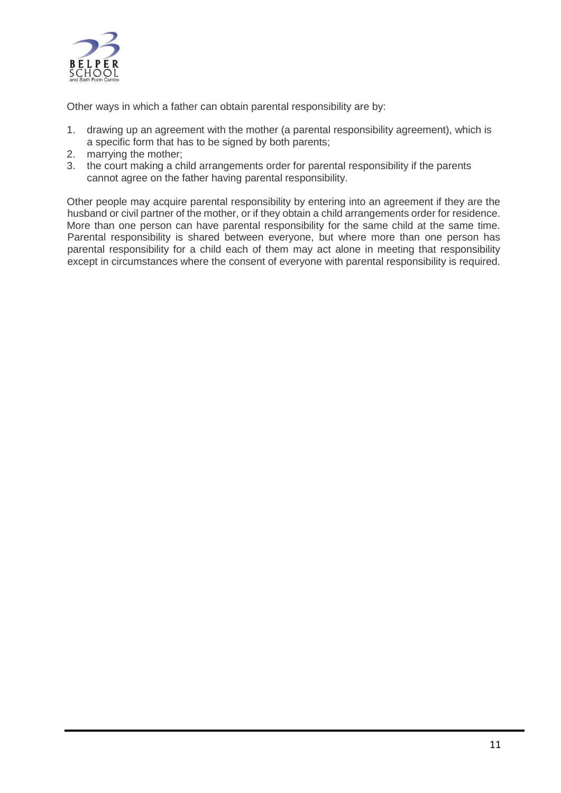

Other ways in which a father can obtain parental responsibility are by:

- 1. drawing up an agreement with the mother (a parental responsibility agreement), which is a specific form that has to be signed by both parents;
- 2. marrying the mother;
- 3. the court making a child arrangements order for parental responsibility if the parents cannot agree on the father having parental responsibility.

Other people may acquire parental responsibility by entering into an agreement if they are the husband or civil partner of the mother, or if they obtain a child arrangements order for residence. More than one person can have parental responsibility for the same child at the same time. Parental responsibility is shared between everyone, but where more than one person has parental responsibility for a child each of them may act alone in meeting that responsibility except in circumstances where the consent of everyone with parental responsibility is required.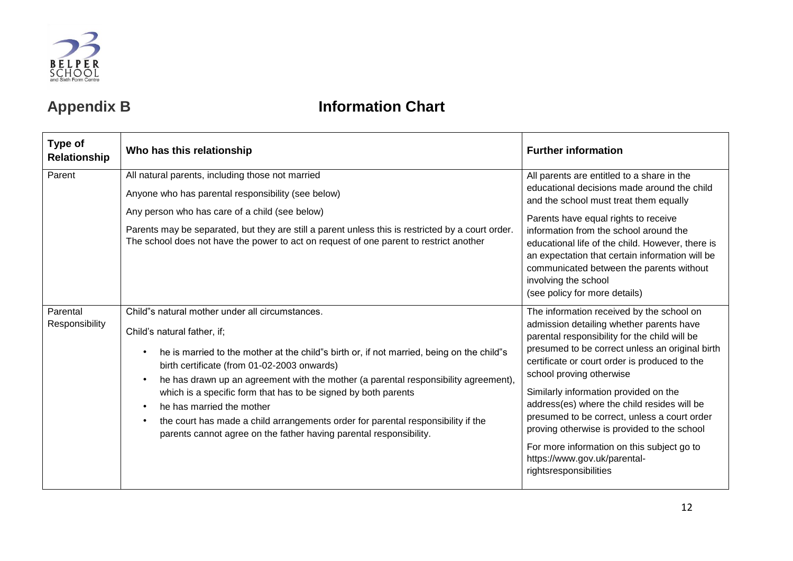

## **Appendix B Information Chart**

| Type of<br>Relationship    | Who has this relationship                                                                                                                                                                                                                                                                                                                                                                                                                                                                                                                                                                                         | <b>Further information</b>                                                                                                                                                                                                                                                                                                                                                                                                                                                                                                                                            |
|----------------------------|-------------------------------------------------------------------------------------------------------------------------------------------------------------------------------------------------------------------------------------------------------------------------------------------------------------------------------------------------------------------------------------------------------------------------------------------------------------------------------------------------------------------------------------------------------------------------------------------------------------------|-----------------------------------------------------------------------------------------------------------------------------------------------------------------------------------------------------------------------------------------------------------------------------------------------------------------------------------------------------------------------------------------------------------------------------------------------------------------------------------------------------------------------------------------------------------------------|
| Parent                     | All natural parents, including those not married<br>Anyone who has parental responsibility (see below)<br>Any person who has care of a child (see below)<br>Parents may be separated, but they are still a parent unless this is restricted by a court order.<br>The school does not have the power to act on request of one parent to restrict another                                                                                                                                                                                                                                                           | All parents are entitled to a share in the<br>educational decisions made around the child<br>and the school must treat them equally<br>Parents have equal rights to receive<br>information from the school around the<br>educational life of the child. However, there is<br>an expectation that certain information will be<br>communicated between the parents without<br>involving the school<br>(see policy for more details)                                                                                                                                     |
| Parental<br>Responsibility | Child"s natural mother under all circumstances.<br>Child's natural father, if;<br>he is married to the mother at the child"s birth or, if not married, being on the child"s<br>$\bullet$<br>birth certificate (from 01-02-2003 onwards)<br>he has drawn up an agreement with the mother (a parental responsibility agreement),<br>which is a specific form that has to be signed by both parents<br>he has married the mother<br>$\bullet$<br>the court has made a child arrangements order for parental responsibility if the<br>$\bullet$<br>parents cannot agree on the father having parental responsibility. | The information received by the school on<br>admission detailing whether parents have<br>parental responsibility for the child will be<br>presumed to be correct unless an original birth<br>certificate or court order is produced to the<br>school proving otherwise<br>Similarly information provided on the<br>address(es) where the child resides will be<br>presumed to be correct, unless a court order<br>proving otherwise is provided to the school<br>For more information on this subject go to<br>https://www.gov.uk/parental-<br>rightsresponsibilities |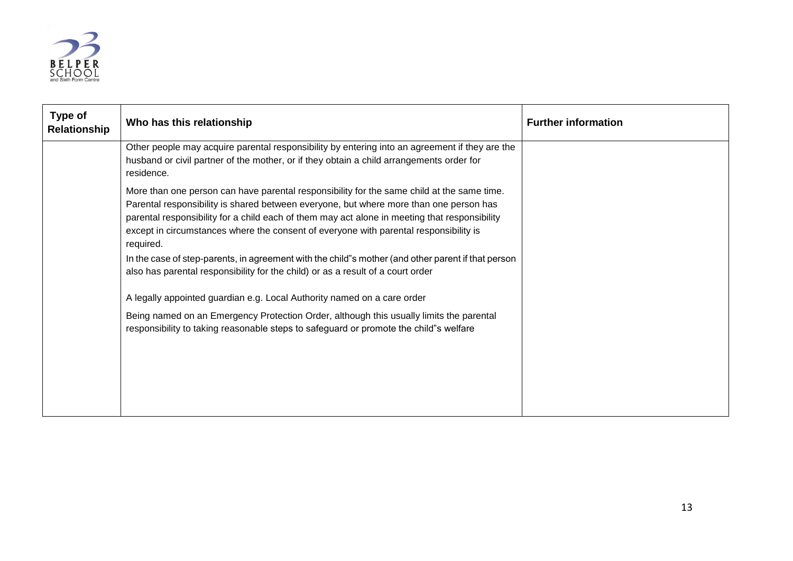

| <b>Type of</b><br>Relationship | Who has this relationship                                                                                                                                                                                                                                                                                                                                                                   | <b>Further information</b> |
|--------------------------------|---------------------------------------------------------------------------------------------------------------------------------------------------------------------------------------------------------------------------------------------------------------------------------------------------------------------------------------------------------------------------------------------|----------------------------|
|                                | Other people may acquire parental responsibility by entering into an agreement if they are the<br>husband or civil partner of the mother, or if they obtain a child arrangements order for<br>residence.                                                                                                                                                                                    |                            |
|                                | More than one person can have parental responsibility for the same child at the same time.<br>Parental responsibility is shared between everyone, but where more than one person has<br>parental responsibility for a child each of them may act alone in meeting that responsibility<br>except in circumstances where the consent of everyone with parental responsibility is<br>required. |                            |
|                                | In the case of step-parents, in agreement with the child"s mother (and other parent if that person<br>also has parental responsibility for the child) or as a result of a court order                                                                                                                                                                                                       |                            |
|                                | A legally appointed guardian e.g. Local Authority named on a care order                                                                                                                                                                                                                                                                                                                     |                            |
|                                | Being named on an Emergency Protection Order, although this usually limits the parental<br>responsibility to taking reasonable steps to safeguard or promote the child"s welfare                                                                                                                                                                                                            |                            |
|                                |                                                                                                                                                                                                                                                                                                                                                                                             |                            |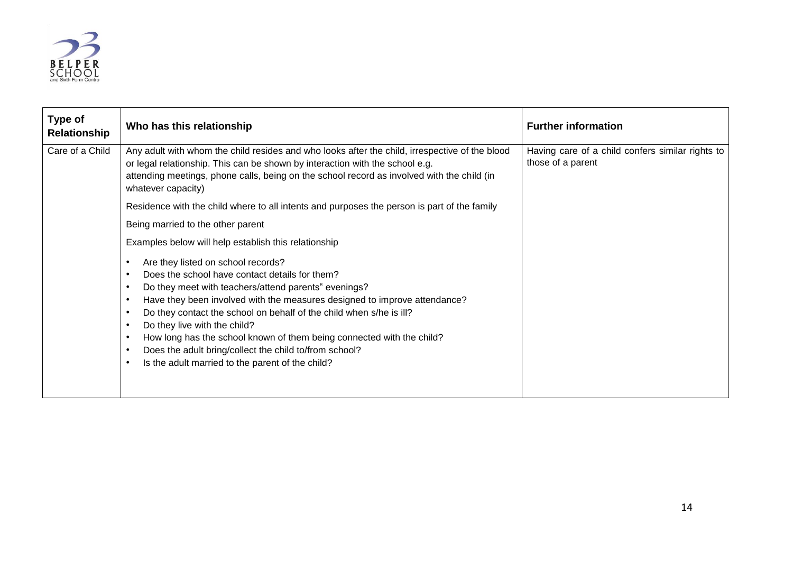

| Type of<br>Relationship | Who has this relationship                                                                                                                                                                                                                                                                                                                                                                                                                                                                                                    | <b>Further information</b>                                            |
|-------------------------|------------------------------------------------------------------------------------------------------------------------------------------------------------------------------------------------------------------------------------------------------------------------------------------------------------------------------------------------------------------------------------------------------------------------------------------------------------------------------------------------------------------------------|-----------------------------------------------------------------------|
| Care of a Child         | Any adult with whom the child resides and who looks after the child, irrespective of the blood<br>or legal relationship. This can be shown by interaction with the school e.g.<br>attending meetings, phone calls, being on the school record as involved with the child (in<br>whatever capacity)                                                                                                                                                                                                                           | Having care of a child confers similar rights to<br>those of a parent |
|                         | Residence with the child where to all intents and purposes the person is part of the family                                                                                                                                                                                                                                                                                                                                                                                                                                  |                                                                       |
|                         | Being married to the other parent                                                                                                                                                                                                                                                                                                                                                                                                                                                                                            |                                                                       |
|                         | Examples below will help establish this relationship                                                                                                                                                                                                                                                                                                                                                                                                                                                                         |                                                                       |
|                         | Are they listed on school records?<br>Does the school have contact details for them?<br>Do they meet with teachers/attend parents" evenings?<br>٠<br>Have they been involved with the measures designed to improve attendance?<br>Do they contact the school on behalf of the child when s/he is ill?<br>Do they live with the child?<br>How long has the school known of them being connected with the child?<br>Does the adult bring/collect the child to/from school?<br>Is the adult married to the parent of the child? |                                                                       |